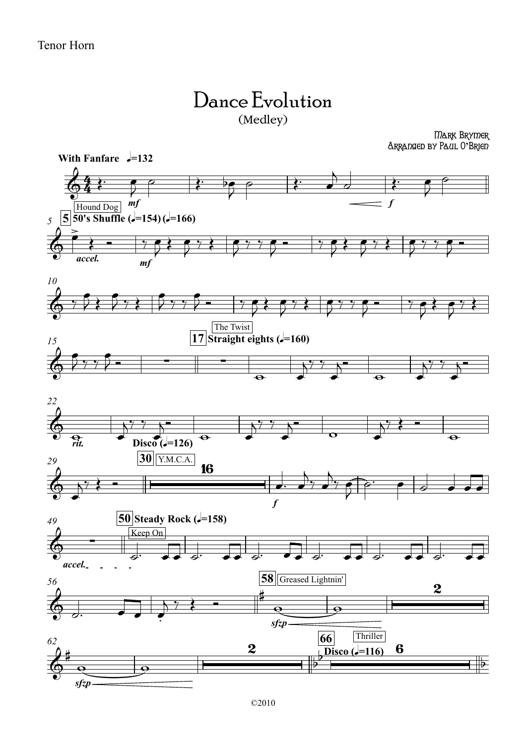## Dance Evolution (Medley)

Mark Brymer Arranged by Paul O**'**Brien

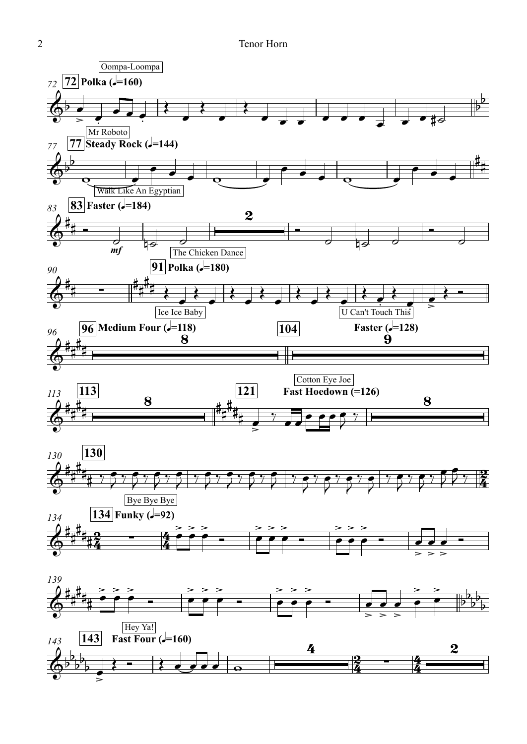